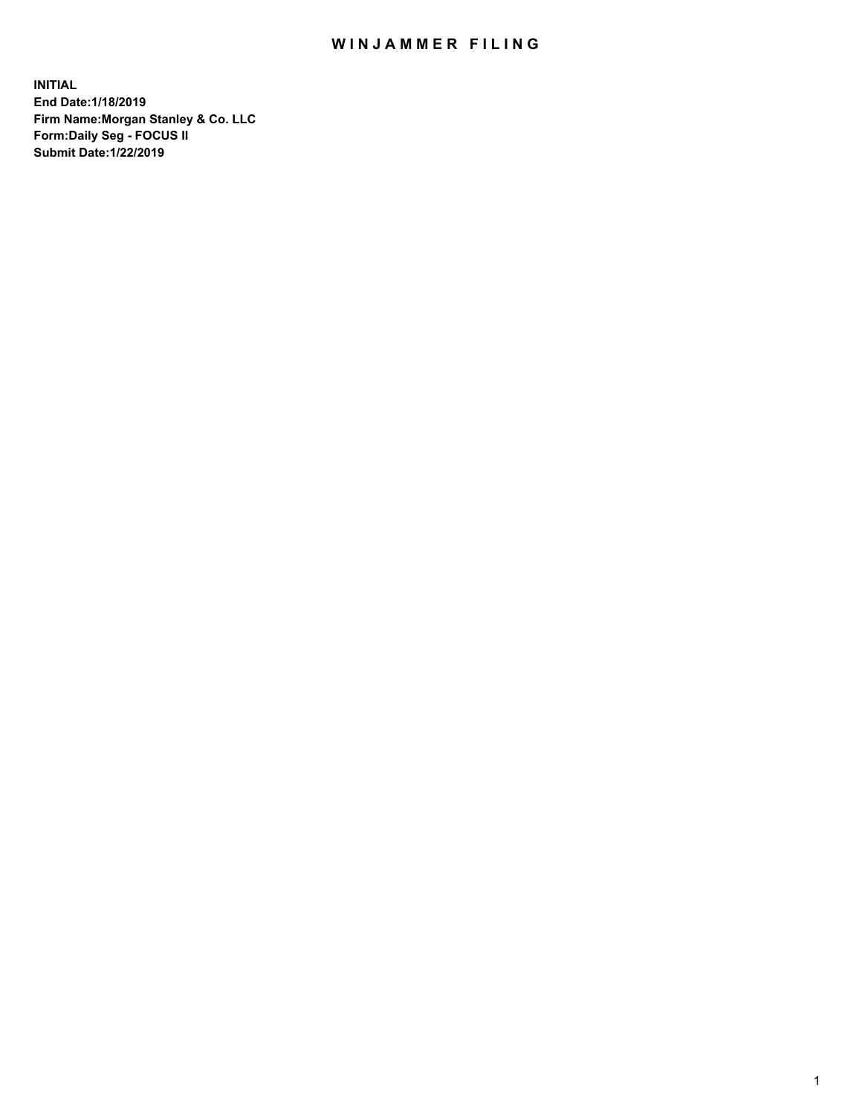## WIN JAMMER FILING

**INITIAL End Date:1/18/2019 Firm Name:Morgan Stanley & Co. LLC Form:Daily Seg - FOCUS II Submit Date:1/22/2019**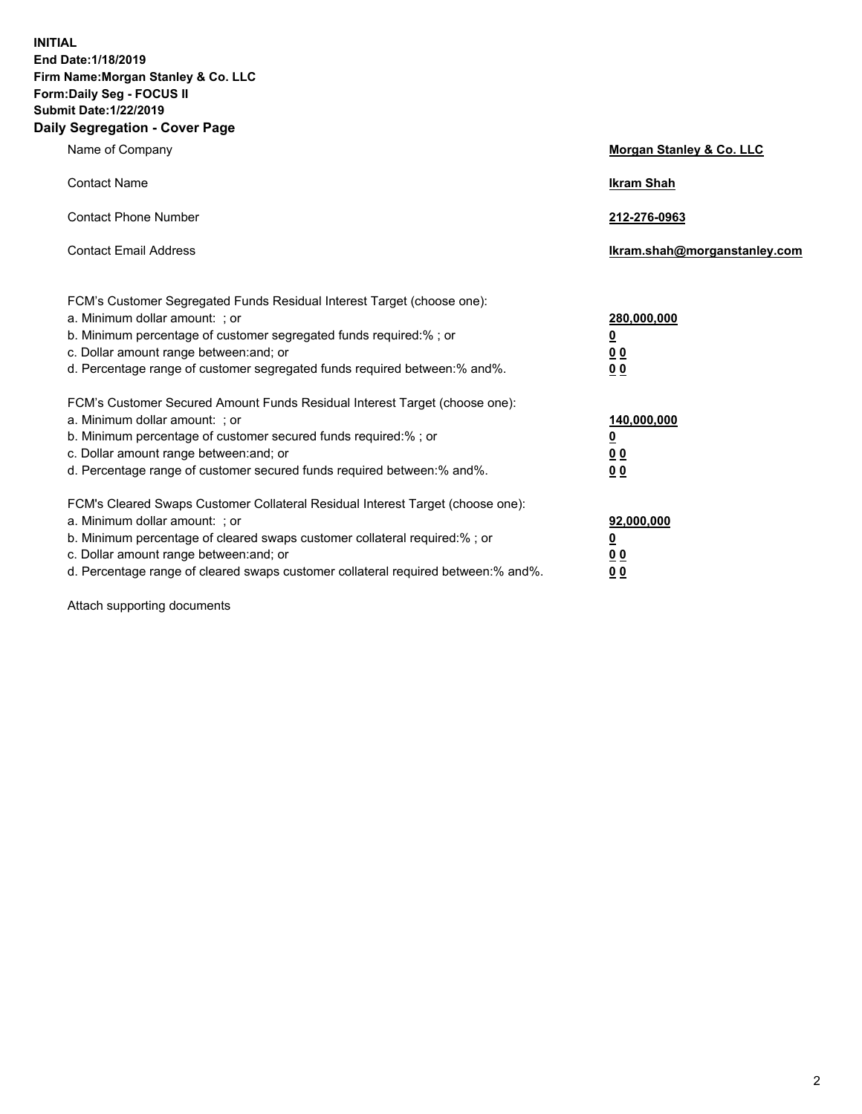**INITIAL End Date:1/18/2019 Firm Name:Morgan Stanley & Co. LLC Form:Daily Seg - FOCUS II Submit Date:1/22/2019 Daily Segregation - Cover Page**

| Name of Company                                                                                                                                                                                                                                                                                                                | Morgan Stanley & Co. LLC                               |
|--------------------------------------------------------------------------------------------------------------------------------------------------------------------------------------------------------------------------------------------------------------------------------------------------------------------------------|--------------------------------------------------------|
| <b>Contact Name</b>                                                                                                                                                                                                                                                                                                            | <b>Ikram Shah</b>                                      |
| <b>Contact Phone Number</b>                                                                                                                                                                                                                                                                                                    | 212-276-0963                                           |
| <b>Contact Email Address</b>                                                                                                                                                                                                                                                                                                   | lkram.shah@morganstanley.com                           |
| FCM's Customer Segregated Funds Residual Interest Target (choose one):<br>a. Minimum dollar amount: ; or<br>b. Minimum percentage of customer segregated funds required:% ; or<br>c. Dollar amount range between: and; or<br>d. Percentage range of customer segregated funds required between:% and%.                         | 280,000,000<br><u>0</u><br><u>0 0</u><br>0 Q           |
| FCM's Customer Secured Amount Funds Residual Interest Target (choose one):<br>a. Minimum dollar amount: ; or<br>b. Minimum percentage of customer secured funds required:%; or<br>c. Dollar amount range between: and; or<br>d. Percentage range of customer secured funds required between:% and%.                            | 140,000,000<br><u>0</u><br><u>00</u><br>0 <sub>0</sub> |
| FCM's Cleared Swaps Customer Collateral Residual Interest Target (choose one):<br>a. Minimum dollar amount: ; or<br>b. Minimum percentage of cleared swaps customer collateral required:% ; or<br>c. Dollar amount range between: and; or<br>d. Percentage range of cleared swaps customer collateral required between:% and%. | 92,000,000<br><u>0</u><br><u>00</u><br>0 <sup>0</sup>  |

Attach supporting documents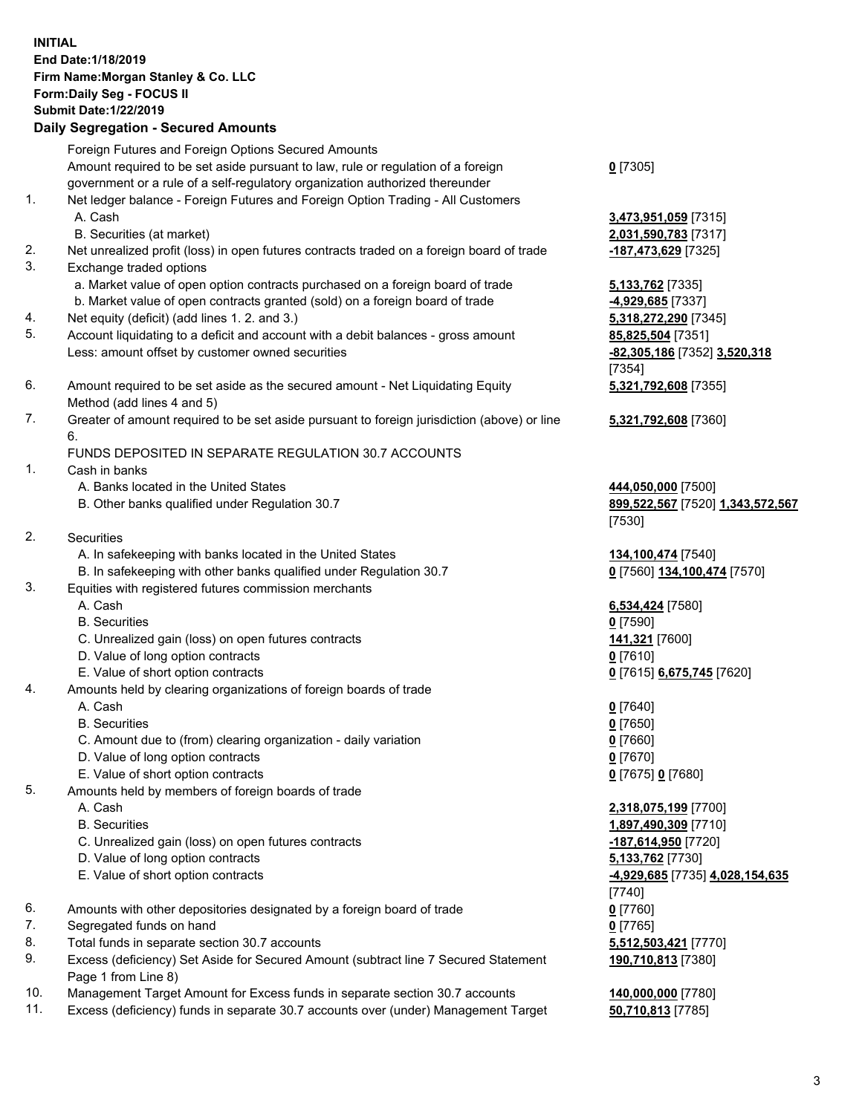## **INITIAL End Date:1/18/2019 Firm Name:Morgan Stanley & Co. LLC Form:Daily Seg - FOCUS II Submit Date:1/22/2019 Daily Segregation - Secured Amounts** Foreign Futures and Foreign Options Secured Amounts Amount required to be set aside pursuant to law, rule or regulation of a foreign government or a rule of a self-regulatory organization authorized thereunder 1. Net ledger balance - Foreign Futures and Foreign Option Trading - All Customers A. Cash **3,473,951,059** [7315] B. Securities (at market) **2,031,590,783** [7317] 2. Net unrealized profit (loss) in open futures contracts traded on a foreign board of trade **-187,473,629** [7325] 3. Exchange traded options a. Market value of open option contracts purchased on a foreign board of trade **5,133,762** [7335] b. Market value of open contracts granted (sold) on a foreign board of trade **-4,929,685** [7337] 4. Net equity (deficit) (add lines 1. 2. and 3.) **5,318,272,290** [7345] 5. Account liquidating to a deficit and account with a debit balances - gross amount **85,825,504** [7351] Less: amount offset by customer owned securities **-82,305,186** [7352] **3,520,318**

- 6. Amount required to be set aside as the secured amount Net Liquidating Equity Method (add lines 4 and 5)
- 7. Greater of amount required to be set aside pursuant to foreign jurisdiction (above) or line 6.

## FUNDS DEPOSITED IN SEPARATE REGULATION 30.7 ACCOUNTS

- 1. Cash in banks
	- A. Banks located in the United States **444,050,000** [7500]
	- B. Other banks qualified under Regulation 30.7 **899,522,567** [7520] **1,343,572,567**
- 2. Securities
	- A. In safekeeping with banks located in the United States **134,100,474** [7540]
	- B. In safekeeping with other banks qualified under Regulation 30.7 **0** [7560] **134,100,474** [7570]
- 3. Equities with registered futures commission merchants
	-
	- B. Securities **0** [7590]
	- C. Unrealized gain (loss) on open futures contracts **141,321** [7600]
	- D. Value of long option contracts **0** [7610]
- E. Value of short option contracts **0** [7615] **6,675,745** [7620]
- 4. Amounts held by clearing organizations of foreign boards of trade
	- A. Cash **0** [7640]
	- B. Securities **0** [7650]
	- C. Amount due to (from) clearing organization daily variation **0** [7660]
	- D. Value of long option contracts **0** [7670]
	- E. Value of short option contracts **0** [7675] **0** [7680]
- 5. Amounts held by members of foreign boards of trade
	-
	-
	- C. Unrealized gain (loss) on open futures contracts **-187,614,950** [7720]
	- D. Value of long option contracts **5,133,762** [7730]
	- E. Value of short option contracts **-4,929,685** [7735] **4,028,154,635**
- 6. Amounts with other depositories designated by a foreign board of trade **0** [7760]
- 7. Segregated funds on hand **0** [7765]
- 8. Total funds in separate section 30.7 accounts **5,512,503,421** [7770]
- 9. Excess (deficiency) Set Aside for Secured Amount (subtract line 7 Secured Statement Page 1 from Line 8)
- 10. Management Target Amount for Excess funds in separate section 30.7 accounts **140,000,000** [7780]
- 11. Excess (deficiency) funds in separate 30.7 accounts over (under) Management Target **50,710,813** [7785]

**0** [7305]

[7354] **5,321,792,608** [7355]

**5,321,792,608** [7360]

[7530]

A. Cash **6,534,424** [7580]

 A. Cash **2,318,075,199** [7700] B. Securities **1,897,490,309** [7710] [7740] **190,710,813** [7380]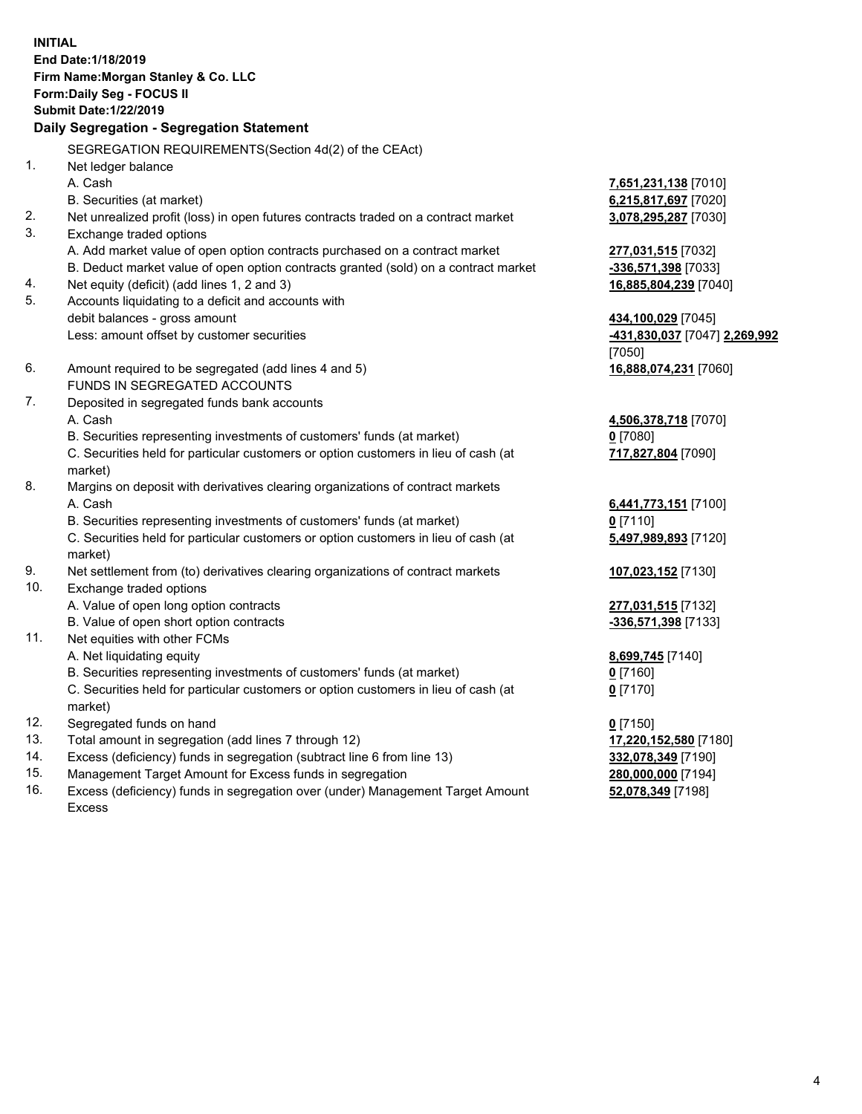**INITIAL End Date:1/18/2019 Firm Name:Morgan Stanley & Co. LLC Form:Daily Seg - FOCUS II Submit Date:1/22/2019 Daily Segregation - Segregation Statement** SEGREGATION REQUIREMENTS(Section 4d(2) of the CEAct) 1. Net ledger balance A. Cash **7,651,231,138** [7010] B. Securities (at market) **6,215,817,697** [7020] 2. Net unrealized profit (loss) in open futures contracts traded on a contract market **3,078,295,287** [7030] 3. Exchange traded options A. Add market value of open option contracts purchased on a contract market **277,031,515** [7032] B. Deduct market value of open option contracts granted (sold) on a contract market **-336,571,398** [7033] 4. Net equity (deficit) (add lines 1, 2 and 3) **16,885,804,239** [7040] 5. Accounts liquidating to a deficit and accounts with debit balances - gross amount **434,100,029** [7045] Less: amount offset by customer securities **-431,830,037** [7047] **2,269,992** [7050] 6. Amount required to be segregated (add lines 4 and 5) **16,888,074,231** [7060] FUNDS IN SEGREGATED ACCOUNTS 7. Deposited in segregated funds bank accounts A. Cash **4,506,378,718** [7070] B. Securities representing investments of customers' funds (at market) **0** [7080] C. Securities held for particular customers or option customers in lieu of cash (at market) **717,827,804** [7090] 8. Margins on deposit with derivatives clearing organizations of contract markets A. Cash **6,441,773,151** [7100] B. Securities representing investments of customers' funds (at market) **0** [7110] C. Securities held for particular customers or option customers in lieu of cash (at market) **5,497,989,893** [7120] 9. Net settlement from (to) derivatives clearing organizations of contract markets **107,023,152** [7130] 10. Exchange traded options A. Value of open long option contracts **277,031,515** [7132] B. Value of open short option contracts **-336,571,398** [7133] 11. Net equities with other FCMs A. Net liquidating equity **8,699,745** [7140] B. Securities representing investments of customers' funds (at market) **0** [7160] C. Securities held for particular customers or option customers in lieu of cash (at market) **0** [7170] 12. Segregated funds on hand **0** [7150] 13. Total amount in segregation (add lines 7 through 12) **17,220,152,580** [7180] 14. Excess (deficiency) funds in segregation (subtract line 6 from line 13) **332,078,349** [7190]

- 15. Management Target Amount for Excess funds in segregation **280,000,000** [7194]
- 16. Excess (deficiency) funds in segregation over (under) Management Target Amount Excess

**52,078,349** [7198]